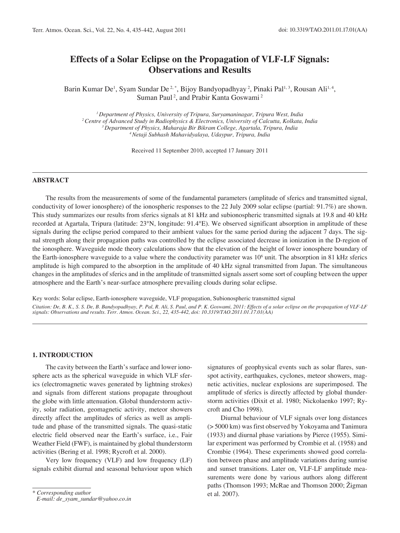# **Effects of a Solar Eclipse on the Propagation of VLF-LF Signals: Observations and Results**

Barin Kumar De<sup>1</sup>, Syam Sundar De<sup>2,\*</sup>, Bijoy Bandyopadhyay<sup>2</sup>, Pinaki Pal<sup>1,3</sup>, Rousan Ali<sup>1,4</sup>, Suman Paul<sup>2</sup>, and Prabir Kanta Goswami<sup>2</sup>

*1 Department of Physics, University of Tripura, Suryamaninagar, Tripura West, India 2 Centre of Advanced Study in Radiophysics & Electronics, University of Calcutta, Kolkata, India 3 Department of Physics, Maharaja Bir Bikram College, Agartala, Tripura, India 4 Netaji Subhash Mahavidyalaya, Udaypur, Tripura, India*

Received 11 September 2010, accepted 17 January 2011

# **Abstract**

The results from the measurements of some of the fundamental parameters (amplitude of sferics and transmitted signal, conductivity of lower ionosphere) of the ionospheric responses to the 22 July 2009 solar eclipse (partial: 91.7%) are shown. This study summarizes our results from sferics signals at 81 kHz and subionospheric transmitted signals at 19.8 and 40 kHz recorded at Agartala, Tripura (latitude: 23°N, longitude: 91.4°E). We observed significant absorption in amplitude of these signals during the eclipse period compared to their ambient values for the same period during the adjacent 7 days. The signal strength along their propagation paths was controlled by the eclipse associated decrease in ionization in the D-region of the ionosphere. Waveguide mode theory calculations show that the elevation of the height of lower ionosphere boundary of the Earth-ionosphere waveguide to a value where the conductivity parameter was  $10<sup>6</sup>$  unit. The absorption in 81 kHz sferics amplitude is high compared to the absorption in the amplitude of 40 kHz signal transmitted from Japan. The simultaneous changes in the amplitudes of sferics and in the amplitude of transmitted signals assert some sort of coupling between the upper atmosphere and the Earth's near-surface atmosphere prevailing clouds during solar eclipse.

Key words: Solar eclipse, Earth-ionosphere waveguide, VLF propagation, Subionospheric transmitted signal *Citation: De, B. K., S. S. De, B. Bandyopadhyay, P. Pal, R. Ali, S. Paul, and P. K. Goswami, 2011: Effects of a solar eclipse on the propagation of VLF-LF signals: Observations and results. Terr. Atmos. Ocean. Sci., 22, 435-442, doi: 10.3319/TAO.2011.01.17.01(AA)*

## **1. Introduction**

The cavity between the Earth's surface and lower ionosphere acts as the spherical waveguide in which VLF sferics (electromagnetic waves generated by lightning strokes) and signals from different stations propagate throughout the globe with little attenuation. Global thunderstorm activity, solar radiation, geomagnetic activity, meteor showers directly affect the amplitudes of sferics as well as amplitude and phase of the transmitted signals. The quasi-static electric field observed near the Earth's surface, i.e., Fair Weather Field (FWF), is maintained by global thunderstorm activities (Bering et al. 1998; Rycroft et al. 2000).

Very low frequency (VLF) and low frequency (LF) signals exhibit diurnal and seasonal behaviour upon which

signatures of geophysical events such as solar flares, sunspot activity, earthquakes, cyclones, meteor showers, magnetic activities, nuclear explosions are superimposed. The amplitude of sferics is directly affected by global thunderstorm activities (Dixit et al. 1980; Nickolaenko 1997; Rycroft and Cho 1998).

Diurnal behaviour of VLF signals over long distances (> 5000 km) was first observed by Yokoyama and Tanimura (1933) and diurnal phase variations by Pierce (1955). Similar experiment was performed by Crombie et al. (1958) and Crombie (1964). These experiments showed good correlation between phase and amplitude variations during sunrise and sunset transitions. Later on, VLF-LF amplitude measurements were done by various authors along different paths (Thomson 1993; McRae and Thomson 2000; Žigman et al. 2007).

*<sup>\*</sup> Corresponding author E-mail: de\_syam\_sundar@yahoo.co.in*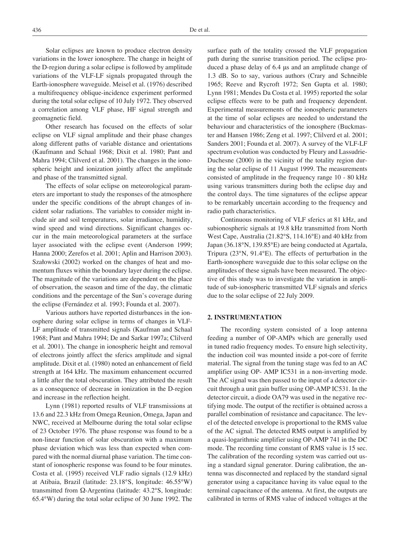Solar eclipses are known to produce electron density variations in the lower ionosphere. The change in height of the D-region during a solar eclipse is followed by amplitude variations of the VLF-LF signals propagated through the Earth-ionosphere waveguide. Meisel et al. (1976) described a multifrequency oblique-incidence experiment performed during the total solar eclipse of 10 July 1972. They observed a correlation among VLF phase, HF signal strength and geomagnetic field.

Other research has focused on the effects of solar eclipse on VLF signal amplitude and their phase changes along different paths of variable distance and orientations (Kaufmann and Schaal 1968; Dixit et al. 1980; Pant and Mahra 1994; Clilverd et al. 2001). The changes in the ionospheric height and ionization jointly affect the amplitude and phase of the transmitted signal.

The effects of solar eclipse on meteorological parameters are important to study the responses of the atmosphere under the specific conditions of the abrupt changes of incident solar radiations. The variables to consider might include air and soil temperatures, solar irradiance, humidity, wind speed and wind directions. Significant changes occur in the main meteorological parameters at the surface layer associated with the eclipse event (Anderson 1999; Hanna 2000; Zerefos et al. 2001; Aplin and Harrison 2003). Szałowski (2002) worked on the changes of heat and momentum fluxes within the boundary layer during the eclipse. The magnitude of the variations are dependent on the place of observation, the season and time of the day, the climatic conditions and the percentage of the Sun's coverage during the eclipse (Fernández et al. 1993; Founda et al. 2007).

Various authors have reported disturbances in the ionosphere during solar eclipse in terms of changes in VLF-LF amplitude of transmitted signals (Kaufman and Schaal 1968; Pant and Mahra 1994; De and Sarkar 1997a; Clilverd et al. 2001). The change in ionospheric height and removal of electrons jointly affect the sferics amplitude and signal amplitude. Dixit et al. (1980) noted an enhancement of field strength at 164 kHz. The maximum enhancement occurred a little after the total obscuration. They attributed the result as a consequence of decrease in ionization in the D-region and increase in the reflection height.

Lynn (1981) reported results of VLF transmissions at 13.6 and 22.3 kHz from Omega Reunion, Omega, Japan and NWC, received at Melbourne during the total solar eclipse of 23 October 1976. The phase response was found to be a non-linear function of solar obscuration with a maximum phase deviation which was less than expected when compared with the normal diurnal phase variation. The time constant of ionospheric response was found to be four minutes. Costa et al. (1995) received VLF radio signals (12.9 kHz) at Atibaia, Brazil (latitude: 23.18°S, longitude: 46.55°W) transmitted from Ω-Argentina (latitude: 43.2°S, longitude: 65.4°W) during the total solar eclipse of 30 June 1992. The surface path of the totality crossed the VLF propagation path during the sunrise transition period. The eclipse produced a phase delay of 6.4 μs and an amplitude change of 1.3 dB. So to say, various authors (Crary and Schneible 1965; Reeve and Rycroft 1972; Sen Gupta et al. 1980; Lynn 1981; Mendes Da Costa et al. 1995) reported the solar eclipse effects were to be path and frequency dependent. Experimental measurements of the ionospheric parameters at the time of solar eclipses are needed to understand the behaviour and characteristics of the ionosphere (Buckmaster and Hansen 1986; Zeng et al. 1997; Clilverd et al. 2001; Sanders 2001; Founda et al. 2007). A survey of the VLF-LF spectrum evolution was conducted by Fleury and Lassudrie-Duchesne (2000) in the vicinity of the totality region during the solar eclipse of 11 August 1999. The measurements consisted of amplitude in the frequency range 10 - 80 kHz using various transmitters during both the eclipse day and the control days. The time signatures of the eclipse appear to be remarkably uncertain according to the frequency and radio path characteristics.

Continuous monitoring of VLF sferics at 81 kHz, and subionospheric signals at 19.8 kHz transmitted from North West Cape, Australia (21.82°S, 114.16°E) and 40 kHz from Japan (36.18°N, 139.85°E) are being conducted at Agartala, Tripura (23°N, 91.4°E). The effects of perturbation in the Earth-ionosphere waveguide due to this solar eclipse on the amplitudes of these signals have been measured. The objective of this study was to investigate the variation in amplitude of sub-ionospheric transmitted VLF signals and sferics due to the solar eclipse of 22 July 2009.

## **2. Instrumentation**

The recording system consisted of a loop antenna feeding a number of OP-AMPs which are generally used in tuned radio frequency modes. To ensure high selectivity, the induction coil was mounted inside a pot-core of ferrite material. The signal from the tuning stage was fed to an AC amplifier using OP- AMP IC531 in a non-inverting mode. The AC signal was then passed to the input of a detector circuit through a unit gain buffer using OP-AMP IC531. In the detector circuit, a diode OA79 was used in the negative rectifying mode. The output of the rectifier is obtained across a parallel combination of resistance and capacitance. The level of the detected envelope is proportional to the RMS value of the AC signal. The detected RMS output is amplified by a quasi-logarithmic amplifier using OP-AMP 741 in the DC mode. The recording time constant of RMS value is 15 sec. The calibration of the recording system was carried out using a standard signal generator. During calibration, the antenna was disconnected and replaced by the standard signal generator using a capacitance having its value equal to the terminal capacitance of the antenna. At first, the outputs are calibrated in terms of RMS value of induced voltages at the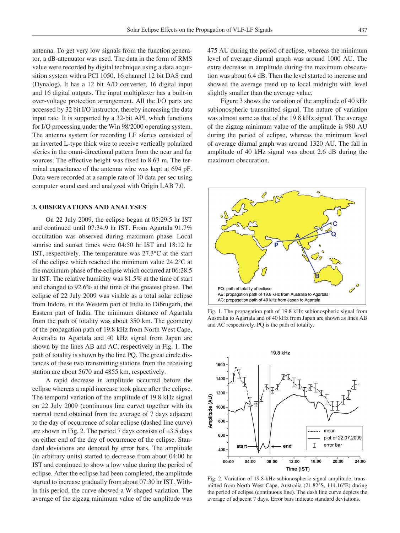antenna. To get very low signals from the function generator, a dB-attenuator was used. The data in the form of RMS value were recorded by digital technique using a data acquisition system with a PCI 1050, 16 channel 12 bit DAS card (Dynalog). It has a 12 bit A/D converter, 16 digital input and 16 digital outputs. The input multiplexer has a built-in over-voltage protection arrangement. All the I/O parts are accessed by 32 bit I/O instructor, thereby increasing the data input rate. It is supported by a 32-bit API, which functions for I/O processing under the Win 98/2000 operating system. The antenna system for recording LF sferics consisted of an inverted L-type thick wire to receive vertically polarized sferics in the omni-directional pattern from the near and far sources. The effective height was fixed to 8.63 m. The terminal capacitance of the antenna wire was kept at 694 pF. Data were recorded at a sample rate of 10 data per sec using computer sound card and analyzed with Origin LAB 7.0.

## **3. Observations and analyses**

On 22 July 2009, the eclipse began at 05:29.5 hr IST and continued until 07:34.9 hr IST. From Agartala 91.7% occultation was observed during maximum phase. Local sunrise and sunset times were 04:50 hr IST and 18:12 hr IST, respectively. The temperature was 27.3°C at the start of the eclipse which reached the minimum value 24.2°C at the maximum phase of the eclipse which occurred at 06:28.5 hr IST. The relative humidity was 81.5% at the time of start and changed to 92.6% at the time of the greatest phase. The eclipse of 22 July 2009 was visible as a total solar eclipse from Indore, in the Western part of India to Dibrugarh, the Eastern part of India. The minimum distance of Agartala from the path of totality was about 350 km. The geometry of the propagation path of 19.8 kHz from North West Cape, Australia to Agartala and 40 kHz signal from Japan are shown by the lines AB and AC, respectively in Fig. 1. The path of totality is shown by the line PQ. The great circle distances of these two transmitting stations from the receiving station are about 5670 and 4855 km, respectively.

A rapid decrease in amplitude occurred before the eclipse whereas a rapid increase took place after the eclipse. The temporal variation of the amplitude of 19.8 kHz signal on 22 July 2009 (continuous line curve) together with its normal trend obtained from the average of 7 days adjacent to the day of occurrence of solar eclipse (dashed line curve) are shown in Fig. 2. The period 7 days consists of  $\pm 3.5$  days on either end of the day of occurrence of the eclipse. Standard deviations are denoted by error bars. The amplitude (in arbitrary units) started to decrease from about 04:00 hr IST and continued to show a low value during the period of eclipse. After the eclipse had been completed, the amplitude started to increase gradually from about 07:30 hr IST. Within this period, the curve showed a W-shaped variation. The average of the zigzag minimum value of the amplitude was 475 AU during the period of eclipse, whereas the minimum level of average diurnal graph was around 1000 AU. The extra decrease in amplitude during the maximum obscuration was about 6.4 dB. Then the level started to increase and showed the average trend up to local midnight with level slightly smaller than the average value.

Figure 3 shows the variation of the amplitude of 40 kHz subionospheric transmitted signal. The nature of variation was almost same as that of the 19.8 kHz signal. The average of the zigzag minimum value of the amplitude is 980 AU during the period of eclipse, whereas the minimum level of average diurnal graph was around 1320 AU. The fall in amplitude of 40 kHz signal was about 2.6 dB during the maximum obscuration.



Fig. 1. The propagation path of 19.8 kHz subionospheric signal from Australia to Agartala and of 40 kHz from Japan are shown as lines AB and AC respectively. PQ is the path of totality.



Fig. 2. Variation of 19.8 kHz subionospheric signal amplitude, transmitted from North West Cape, Australia (21.82°S, 114.16°E) during the period of eclipse (continuous line). The dash line curve depicts the average of adjacent 7 days. Error bars indicate standard deviations.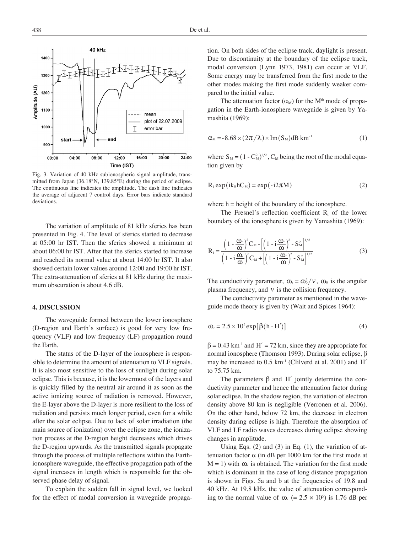

Fig. 3. Variation of 40 kHz subionospheric signal amplitude, transmitted from Japan (36.18°N, 139.85°E) during the period of eclipse. The continuous line indicates the amplitude. The dash line indicates the average of adjacent 7 control days. Error bars indicate standard deviations.

The variation of amplitude of 81 kHz sferics has been presented in Fig. 4. The level of sferics started to decrease at 05:00 hr IST. Then the sferics showed a minimum at about 06:00 hr IST. After that the sferics started to increase and reached its normal value at about 14:00 hr IST. It also showed certain lower values around 12:00 and 19:00 hr IST. The extra-attenuation of sferics at 81 kHz during the maximum obscuration is about 4.6 dB.

#### **4. Discussion**

The waveguide formed between the lower ionosphere (D-region and Earth's surface) is good for very low frequency (VLF) and low frequency (LF) propagation round the Earth.

The status of the D-layer of the ionosphere is responsible to determine the amount of attenuation to VLF signals. It is also most sensitive to the loss of sunlight during solar eclipse. This is because, it is the lowermost of the layers and is quickly filled by the neutral air around it as soon as the active ionizing source of radiation is removed. However, the E-layer above the D-layer is more resilient to the loss of radiation and persists much longer period, even for a while after the solar eclipse. Due to lack of solar irradiation (the main source of ionization) over the eclipse zone, the ionization process at the D-region height decreases which drives the D-region upwards. As the transmitted signals propagate through the process of multiple reflections within the Earthionosphere waveguide, the effective propagation path of the signal increases in length which is responsible for the observed phase delay of signal.

To explain the sudden fall in signal level, we looked for the effect of modal conversion in waveguide propaga-

tion. On both sides of the eclipse track, daylight is present. Due to discontinuity at the boundary of the eclipse track, modal conversion (Lynn 1973, 1981) can occur at VLF. Some energy may be transferred from the first mode to the other modes making the first mode suddenly weaker compared to the initial value.

The attenuation factor  $(\alpha_M)$  for the M<sup>th</sup> mode of propagation in the Earth-ionosphere waveguide is given by Yamashita (1969):

$$
\alpha_{\rm M} = -8.68 \times (2\pi/\lambda) \times \text{Im}(S_{\rm M}) \text{dB km}^{-1}
$$
 (1)

where  $S_M = (1 - C_M^2)^{1/2}$ , C<sub>M</sub> being the root of the modal equation given by

$$
R_i \exp(i k_0 h C_M) = \exp(-i2\pi M)
$$
 (2)

where  $h = height$  of the boundary of the ionosphere.

The Fresnel's reflection coefficient  $R_i$  of the lower boundary of the ionosphere is given by Yamashita (1969):

$$
R_{i} = \frac{\left(1 - \frac{\omega_{r}}{\omega}\right)^{2} C_{M} - \left[\left(1 - i\frac{\omega_{r}}{\omega}\right)^{2} - S_{M}^{2}\right]^{1/2}}{\left(1 - i\frac{\omega_{r}}{\omega}\right)^{2} C_{M} + \left[\left(1 - i\frac{\omega_{r}}{\omega}\right)^{2} - S_{M}^{2}\right]^{1/2}}
$$
(3)

The conductivity parameter,  $\omega_r = \omega_0^2 / \nu$ ,  $\omega_0$  is the angular plasma frequency, and  $\nu$  is the collision frequency.

The conductivity parameter as mentioned in the waveguide mode theory is given by (Wait and Spices 1964):

$$
\omega_{r} = 2.5 \times 10^{5} \exp[\beta(h - H')] \tag{4}
$$

 $\beta$  = 0.43 km<sup>-1</sup> and H' = 72 km, since they are appropriate for normal ionosphere (Thomson 1993). During solar eclipse, β may be increased to  $0.5 \text{ km}^{-1}$  (Clilverd et al. 2001) and H' to 75.75 km.

The parameters  $\beta$  and H' jointly determine the conductivity parameter and hence the attenuation factor during solar eclipse. In the shadow region, the variation of electron density above 80 km is negligible (Verronen et al. 2006). On the other hand, below 72 km, the decrease in electron density during eclipse is high. Therefore the absorption of VLF and LF radio waves decreases during eclipse showing changes in amplitude.

Using Eqs.  $(2)$  and  $(3)$  in Eq.  $(1)$ , the variation of attenuation factor α (in dB per 1000 km for the first mode at  $M = 1$ ) with  $\omega_r$  is obtained. The variation for the first mode which is dominant in the case of long distance propagation is shown in Figs. 5a and b at the frequencies of 19.8 and 40 kHz. At 19.8 kHz, the value of attenuation corresponding to the normal value of  $\omega_r$  (= 2.5 × 10<sup>5</sup>) is 1.76 dB per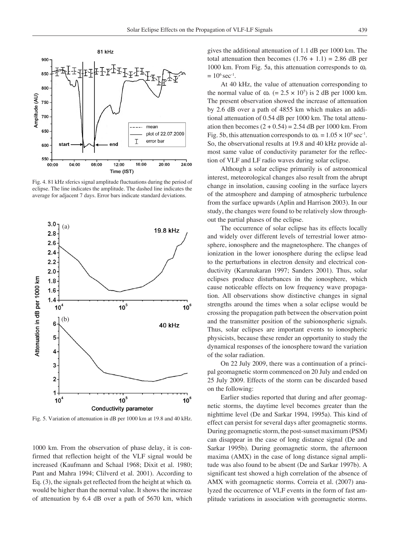

Fig. 4. 81 kHz sferics signal amplitude fluctuations during the period of eclipse. The line indicates the amplitude. The dashed line indicates the average for adjacent 7 days. Error bars indicate standard deviations.



Fig. 5. Variation of attenuation in dB per 1000 km at 19.8 and 40 kHz.

1000 km. From the observation of phase delay, it is confirmed that reflection height of the VLF signal would be increased (Kaufmann and Schaal 1968; Dixit et al. 1980; Pant and Mahra 1994; Clilverd et al. 2001). According to Eq. (3), the signals get reflected from the height at which  $\omega_r$ would be higher than the normal value. It shows the increase of attenuation by 6.4 dB over a path of 5670 km, which

gives the additional attenuation of 1.1 dB per 1000 km. The total attenuation then becomes  $(1.76 + 1.1) = 2.86$  dB per 1000 km. From Fig. 5a, this attenuation corresponds to  $\omega_r$  $= 10^6$  sec<sup>-1</sup>.

At 40 kHz, the value of attenuation corresponding to the normal value of  $\omega_r$  (= 2.5 × 10<sup>5</sup>) is 2 dB per 1000 km. The present observation showed the increase of attenuation by 2.6 dB over a path of 4855 km which makes an additional attenuation of 0.54 dB per 1000 km. The total attenuation then becomes  $(2 + 0.54) = 2.54$  dB per 1000 km. From Fig. 5b, this attenuation corresponds to  $\omega_r = 1.05 \times 10^6 \text{ sec}^{-1}$ . So, the observational results at 19.8 and 40 kHz provide almost same value of conductivity parameter for the reflection of VLF and LF radio waves during solar eclipse.

Although a solar eclipse primarily is of astronomical interest, meteorological changes also result from the abrupt change in insolation, causing cooling in the surface layers of the atmosphere and damping of atmospheric turbulence from the surface upwards (Aplin and Harrison 2003). In our study, the changes were found to be relatively slow throughout the partial phases of the eclipse.

The occurrence of solar eclipse has its effects locally and widely over different levels of terrestrial lower atmosphere, ionosphere and the magnetosphere. The changes of ionization in the lower ionosphere during the eclipse lead to the perturbations in electron density and electrical conductivity (Karunakaran 1997; Sanders 2001). Thus, solar eclipses produce disturbances in the ionosphere, which cause noticeable effects on low frequency wave propagation. All observations show distinctive changes in signal strengths around the times when a solar eclipse would be crossing the propagation path between the observation point and the transmitter position of the subionospheric signals. Thus, solar eclipses are important events to ionospheric physicists, because these render an opportunity to study the dynamical responses of the ionosphere toward the variation of the solar radiation.

On 22 July 2009, there was a continuation of a principal geomagnetic storm commenced on 20 July and ended on 25 July 2009. Effects of the storm can be discarded based on the following:

Earlier studies reported that during and after geomagnetic storms, the daytime level becomes greater than the nighttime level (De and Sarkar 1994, 1995a). This kind of effect can persist for several days after geomagnetic storms. During geomagnetic storm, the post-sunset maximum (PSM) can disappear in the case of long distance signal (De and Sarkar 1995b). During geomagnetic storm, the afternoon maxima (AMX) in the case of long distance signal amplitude was also found to be absent (De and Sarkar 1997b). A significant test showed a high correlation of the absence of AMX with geomagnetic storms. Correia et al. (2007) analyzed the occurrence of VLF events in the form of fast amplitude variations in association with geomagnetic storms.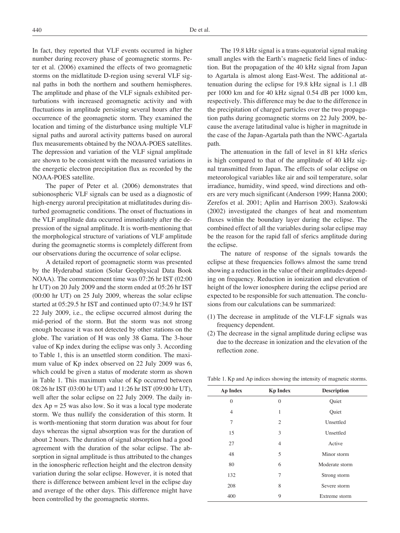In fact, they reported that VLF events occurred in higher number during recovery phase of geomagnetic storms. Peter et al. (2006) examined the effects of two geomagnetic storms on the midlatitude D-region using several VLF signal paths in both the northern and southern hemispheres. The amplitude and phase of the VLF signals exhibited perturbations with increased geomagnetic activity and with fluctuations in amplitude persisting several hours after the occurrence of the geomagnetic storm. They examined the location and timing of the disturbance using multiple VLF signal paths and auroral activity patterns based on auroral flux measurements obtained by the NOAA-POES satellites. The depression and variation of the VLF signal amplitude are shown to be consistent with the measured variations in the energetic electron precipitation flux as recorded by the NOAA-POES satellite.

The paper of Peter et al. (2006) demonstrates that subionospheric VLF signals can be used as a diagnostic of high-energy auroral precipitation at midlatitudes during disturbed geomagnetic conditions. The onset of fluctuations in the VLF amplitude data occurred immediately after the depression of the signal amplitude. It is worth-mentioning that the morphological structure of variations of VLF amplitude during the geomagnetic storms is completely different from our observations during the occurrence of solar eclipse.

A detailed report of geomagnetic storm was presented by the Hyderabad station (Solar Geophysical Data Book NOAA). The commencement time was 07:26 hr IST (02:00 hr UT) on 20 July 2009 and the storm ended at 05:26 hr IST (00:00 hr UT) on 25 July 2009, whereas the solar eclipse started at 05:29.5 hr IST and continued upto 07:34.9 hr IST 22 July 2009, i.e., the eclipse occurred almost during the mid-period of the storm. But the storm was not strong enough because it was not detected by other stations on the globe. The variation of H was only 38 Gama. The 3-hour value of Kp index during the eclipse was only 3. According to Table 1, this is an unsettled storm condition. The maximum value of Kp index observed on 22 July 2009 was 6, which could be given a status of moderate storm as shown in Table 1. This maximum value of Kp occurred between 08:26 hr IST (03:00 hr UT) and 11:26 hr IST (09:00 hr UT), well after the solar eclipse on 22 July 2009. The daily in $dex$  Ap = 25 was also low. So it was a local type moderate storm. We thus nullify the consideration of this storm. It is worth-mentioning that storm duration was about for four days whereas the signal absorption was for the duration of about 2 hours. The duration of signal absorption had a good agreement with the duration of the solar eclipse. The absorption in signal amplitude is thus attributed to the changes in the ionospheric reflection height and the electron density variation during the solar eclipse. However, it is noted that there is difference between ambient level in the eclipse day and average of the other days. This difference might have been controlled by the geomagnetic storms.

The 19.8 kHz signal is a trans-equatorial signal making small angles with the Earth's magnetic field lines of induction. But the propagation of the 40 kHz signal from Japan to Agartala is almost along East-West. The additional attenuation during the eclipse for 19.8 kHz signal is 1.1 dB per 1000 km and for 40 kHz signal 0.54 dB per 1000 km, respectively. This difference may be due to the difference in the precipitation of charged particles over the two propagation paths during geomagnetic storms on 22 July 2009, because the average latitudinal value is higher in magnitude in the case of the Japan-Agartala path than the NWC-Agartala path.

The attenuation in the fall of level in 81 kHz sferics is high compared to that of the amplitude of 40 kHz signal transmitted from Japan. The effects of solar eclipse on meteorological variables like air and soil temperature, solar irradiance, humidity, wind speed, wind directions and others are very much significant (Anderson 1999; Hanna 2000; Zerefos et al. 2001; Aplin and Harrison 2003). Szałowski (2002) investigated the changes of heat and momentum fluxes within the boundary layer during the eclipse. The combined effect of all the variables during solar eclipse may be the reason for the rapid fall of sferics amplitude during the eclipse.

The nature of response of the signals towards the eclipse at these frequencies follows almost the same trend showing a reduction in the value of their amplitudes depending on frequency. Reduction in ionization and elevation of height of the lower ionosphere during the eclipse period are expected to be responsible for such attenuation. The conclusions from our calculations can be summarized:

- (1) The decrease in amplitude of the VLF-LF signals was frequency dependent.
- (2) The decrease in the signal amplitude during eclipse was due to the decrease in ionization and the elevation of the reflection zone.

| <b>Ap Index</b> | <b>Kp Index</b> | <b>Description</b> |
|-----------------|-----------------|--------------------|
| $\theta$        | $\theta$        | Quiet              |
| $\overline{4}$  | 1               | Quiet              |
| 7               | 2               | Unsettled          |
| 15              | 3               | Unsettled          |
| 27              | $\overline{4}$  | Active             |
| 48              | 5               | Minor storm        |
| 80              | 6               | Moderate storm     |
| 132             | 7               | Strong storm       |
| 208             | 8               | Severe storm       |
| 400             | 9               | Extreme storm      |

Table 1. Kp and Ap indices showing the intensity of magnetic storms.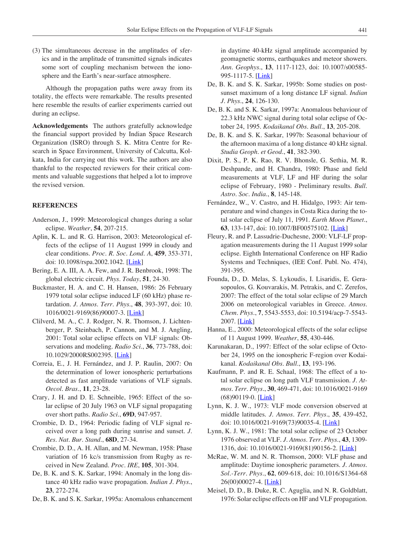(3) The simultaneous decrease in the amplitudes of sferics and in the amplitude of transmitted signals indicates some sort of coupling mechanism between the ionosphere and the Earth's near-surface atmosphere.

Although the propagation paths were away from its totality, the effects were remarkable. The results presented here resemble the results of earlier experiments carried out during an eclipse.

**Acknowledgements** The authors gratefully acknowledge the financial support provided by Indian Space Research Organization (ISRO) through S. K. Mitra Centre for Research in Space Environment, University of Calcutta, Kolkata, India for carrying out this work. The authors are also thankful to the respected reviewers for their critical comments and valuable suggestions that helped a lot to improve the revised version.

### **References**

- Anderson, J., 1999: Meteorological changes during a solar eclipse. *Weather*, **54**, 207-215.
- Aplin, K. L. and R. G. Harrison, 2003: Meteorological effects of the eclipse of 11 August 1999 in cloudy and clear conditions. *Proc. R. Soc. Lond. A*, **459**, 353-371, doi: 10.1098/rspa.2002.1042. [\[Link](http://dx.doi.org/10.1098/rspa.2002.1042)]
- Bering, E. A. III, A. A. Few, and J. R. Benbrook, 1998: The global electric circuit. *Phys. Today*, **51**, 24-30.
- Buckmaster, H. A. and C. H. Hansen, 1986: 26 February 1979 total solar eclipse induced LF (60 kHz) phase retardation. *J. Atmos. Terr. Phys.*, **48**, 393-397, doi: 10. 1016/0021-9169(86)90007-3. [\[Link](http://dx.doi.org/10.1016/0021-9169(86)90007-3)]
- Clilverd, M. A., C. J. Rodger, N. R. Thomson, J. Lichtenberger, P. Steinbach, P. Cannon, and M. J. Angling, 2001: Total solar eclipse effects on VLF signals: Observations and modeling. *Radio Sci.*, **36**, 773-788, doi: 10.1029/2000RS002395. [[Link\]](http://dx.doi.org/10.1029/2000RS002395)
- Correia, E., J. H. Fernández, and J. P. Raulin, 2007: On the determination of lower ionospheric perturbations detected as fast amplitude variations of VLF signals. *Oecol. Bras.*, **11**, 23-28.
- Crary, J. H. and D. E. Schneible, 1965: Effect of the solar eclipse of 20 July 1963 on VLF signal propagating over short paths. *Radio Sci.*, **69D**, 947-957.
- Crombie, D. D., 1964: Periodic fading of VLF signal received over a long path during sunrise and sunset. *J. Res. Nat. Bur. Stand.*, **68D**, 27-34.
- Crombie, D. D., A. H. Allan, and M. Newman, 1958: Phase variation of 16 kc/s transmission from Rugby as received in New Zealand. *Proc. IRE*, **105**, 301-304.
- De, B. K. and S. K. Sarkar, 1994: Anomaly in the long distance 40 kHz radio wave propagation. *Indian J. Phys.*, **23**, 272-274.

De, B. K. and S. K. Sarkar, 1995a: Anomalous enhancement

in daytime 40-kHz signal amplitude accompanied by geomagnetic storms, earthquakes and meteor showers. *Ann. Geophys.*, **13**, 1117-1123, doi: 10.1007/s00585- 995-1117-5. [[Link\]](http://dx.doi.org/10.1007/s00585-995-1117-5)

- De, B. K. and S. K. Sarkar, 1995b: Some studies on postsunset maximum of a long distance LF signal. *Indian J. Phys.*, **24**, 126-130.
- De, B. K. and S. K. Sarkar, 1997a: Anomalous behaviour of 22.3 kHz NWC signal during total solar eclipse of October 24, 1995. *Kodaikanal Obs. Bull.*, **13**, 205-208.
- De, B. K. and S. K. Sarkar, 1997b: Seasonal behaviour of the afternoon maxima of a long distance 40 kHz signal. *Studia Geoph. et Geod.*, **41**, 382-390.
- Dixit, P. S., P. K. Rao, R. V. Bhonsle, G. Sethia, M. R. Deshpande, and H. Chandra, 1980: Phase and field measurements at VLF, LF and HF during the solar eclipse of February, 1980 - Preliminary results. *Bull. Astro. Soc. India.*, **8**, 145-148.
- Fernández, W., V. Castro, and H. Hidalgo, 1993: Air temperature and wind changes in Costa Rica during the total solar eclipse of July 11, 1991. *Earth Moon Planet.*, **63**, 133-147, doi: 10.1007/BF00575102. [\[Link\]](http://dx.doi.org/10.1007/BF00575102)
- Fleury, R. and P. Lassudrie-Duchesne, 2000: VLF-LF propagation measurements during the 11 August 1999 solar eclipse. Eighth International Conference on HF Radio Systems and Techniques, (IEE Conf. Publ. No. 474), 391-395.
- Founda, D., D. Melas, S. Lykoudis, I. Lisaridis, E. Gerasopoulos, G. Kouvarakis, M. Petrakis, and C. Zerefos, 2007: The effect of the total solar eclipse of 29 March 2006 on meteorological variables in Greece. *Atmos. Chem. Phys.*, **7**, 5543-5553, doi: 10.5194/acp-7-5543- 2007. [\[Link](http://dx.doi.org/10.5194/acp-7-5543-2007)]
- Hanna, E., 2000: Meteorological effects of the solar eclipse of 11 August 1999. *Weather*, **55**, 430-446.
- Karunakaran, D., 1997: Effect of the solar eclipse of October 24, 1995 on the ionospheric F-region over Kodaikanal. *Kodaikanal Obs. Bull.*, **13**, 193-196.
- Kaufmann, P. and R. E. Schaal, 1968: The effect of a total solar eclipse on long path VLF transmission. *J. Atmos. Terr. Phys.*, **30**, 469-471, doi: 10.1016/0021-9169  $(68)90119-0.$  [\[Link](http://dx.doi.org/10.1016/0021-9169(68)90119-0)]
- Lynn, K. J. W., 1973: VLF mode conversion observed at middle latitudes. *J. Atmos. Terr. Phys.*, **35**, 439-452, doi: 10.1016/0021-9169(73)90035-4. [[Link\]](http://dx.doi.org/10.1016/0021-9169(73)90035-4)
- Lynn, K. J. W., 1981: The total solar eclipse of 23 October 1976 observed at VLF. *J. Atmos. Terr. Phys.*, **43**, 1309- 1316, doi: 10.1016/0021-9169(81)90156-2. [[Link\]](http://dx.doi.org/10.1016/0021-9169(81)90156-2)
- McRae, W. M. and N. R. Thomson, 2000: VLF phase and amplitude: Daytime ionospheric parameters. *J. Atmos. Sol.-Terr. Phys.*, **62**, 609-618, doi: 10.1016/S1364-68  $26(00)00027-4.$  [\[Link](http://dx.doi.org/10.1016/S1364-6826(00)00027-4)]
- Meisel, D. D., B. Duke, R. C. Aguglia, and N. R. Goldblatt, 1976: Solar eclipse effects on HF and VLF propagation.